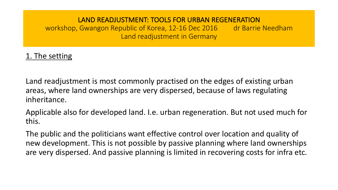workshop, Gwangon Republic of Korea, 12-16 Dec 2016 dr Barrie Needham Land readjustment in Germany

# 1. The setting

Land readjustment is most commonly practised on the edges of existing urban areas, where land ownerships are very dispersed, because of laws regulating inheritance.

Applicable also for developed land. I.e. urban regeneration. But not used much for this.

The public and the politicians want effective control over location and quality of new development. This is not possible by passive planning where land ownerships are very dispersed. And passive planning is limited in recovering costs for infra etc.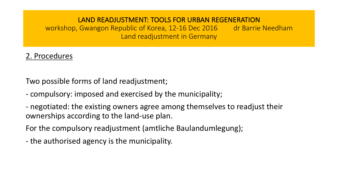workshop, Gwangon Republic of Korea, 12-16 Dec 2016 dr Barrie Needham Land readjustment in Germany

# 2. Procedures

Two possible forms of land readjustment;

- compulsory: imposed and exercised by the municipality;
- negotiated: the existing owners agree among themselves to readjust their ownerships according to the land-use plan.

For the compulsory readjustment (amtliche Baulandumlegung);

- the authorised agency is the municipality.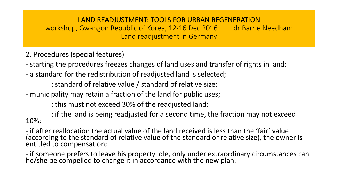workshop, Gwangon Republic of Korea, 12-16 Dec 2016 dr Barrie Needham Land readjustment in Germany

## 2. Procedures (special features)

- starting the procedures freezes changes of land uses and transfer of rights in land;

- a standard for the redistribution of readjusted land is selected;

: standard of relative value / standard of relative size;

- municipality may retain a fraction of the land for public uses;

: this must not exceed 30% of the readjusted land;

: if the land is being readjusted for a second time, the fraction may not exceed 10%;

- if after reallocation the actual value of the land received is less than the 'fair' value (according to the standard of relative value of the standard or relative size), the owner is entitled to compensation;

- if someone prefers to leave his property idle, only under extraordinary circumstances can he/she be compelled to change it in accordance with the new plan.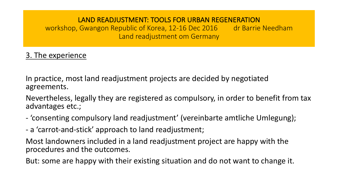workshop, Gwangon Republic of Korea, 12-16 Dec 2016 dr Barrie Needham Land readjustment om Germany

## 3. The experience

In practice, most land readjustment projects are decided by negotiated agreements. 

Nevertheless, legally they are registered as compulsory, in order to benefit from tax advantages etc.;

- 'consenting compulsory land readjustment' (vereinbarte amtliche Umlegung);
- a 'carrot-and-stick' approach to land readjustment;

Most landowners included in a land readjustment project are happy with the procedures and the outcomes.

But: some are happy with their existing situation and do not want to change it.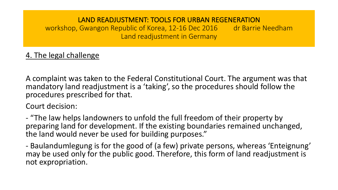workshop, Gwangon Republic of Korea, 12-16 Dec 2016 dr Barrie Needham Land readjustment in Germany

# 4. The legal challenge

A complaint was taken to the Federal Constitutional Court. The argument was that mandatory land readjustment is a 'taking', so the procedures should follow the procedures prescribed for that.

Court decision:

- "The law helps landowners to unfold the full freedom of their property by preparing land for development. If the existing boundaries remained unchanged, the land would never be used for building purposes."

- Baulandumlegung is for the good of (a few) private persons, whereas 'Enteignung' may be used only for the public good. Therefore, this form of land readjustment is not expropriation.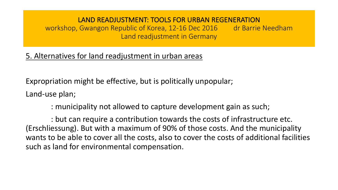workshop, Gwangon Republic of Korea, 12-16 Dec 2016 dr Barrie Needham Land readjustment in Germany

## 5. Alternatives for land readjustment in urban areas

Expropriation might be effective, but is politically unpopular; Land-use plan;

: municipality not allowed to capture development gain as such;

: but can require a contribution towards the costs of infrastructure etc. (Erschliessung). But with a maximum of 90% of those costs. And the municipality wants to be able to cover all the costs, also to cover the costs of additional facilities such as land for environmental compensation.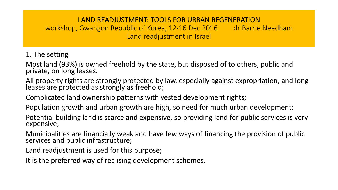workshop, Gwangon Republic of Korea, 12-16 Dec 2016 dr Barrie Needham Land readjustment in Israel

## 1. The setting

Most land (93%) is owned freehold by the state, but disposed of to others, public and private, on long leases.

All property rights are strongly protected by law, especially against expropriation, and long leases are protected as strongly as freehold;

Complicated land ownership patterns with vested development rights;

Population growth and urban growth are high, so need for much urban development;

Potential building land is scarce and expensive, so providing land for public services is very expensive;

Municipalities are financially weak and have few ways of financing the provision of public services and public infrastructure;

Land readjustment is used for this purpose;

It is the preferred way of realising development schemes.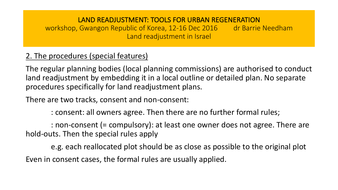workshop, Gwangon Republic of Korea, 12-16 Dec 2016 dr Barrie Needham Land readjustment in Israel

# 2. The procedures (special features)

The regular planning bodies (local planning commissions) are authorised to conduct land readjustment by embedding it in a local outline or detailed plan. No separate procedures specifically for land readjustment plans.

There are two tracks, consent and non-consent:

: consent: all owners agree. Then there are no further formal rules;

: non-consent (= compulsory): at least one owner does not agree. There are hold-outs. Then the special rules apply

e.g. each reallocated plot should be as close as possible to the original plot Even in consent cases, the formal rules are usually applied.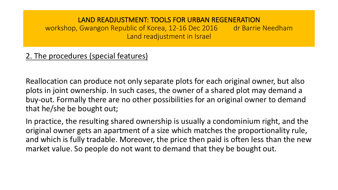workshop, Gwangon Republic of Korea, 12-16 Dec 2016 dr Barrie Needham Land readjustment in Israel

## 2. The procedures (special features)

Reallocation can produce not only separate plots for each original owner, but also plots in joint ownership. In such cases, the owner of a shared plot may demand a buy-out. Formally there are no other possibilities for an original owner to demand that he/she be bought out;

In practice, the resulting shared ownership is usually a condominium right, and the original owner gets an apartment of a size which matches the proportionality rule, and which is fully tradable. Moreover, the price then paid is often less than the new market value. So people do not want to demand that they be bought out.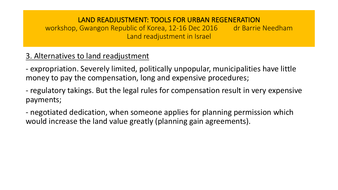workshop, Gwangon Republic of Korea, 12-16 Dec 2016 dr Barrie Needham Land readjustment in Israel

# 3. Alternatives to land readjustment

- expropriation. Severely limited, politically unpopular, municipalities have little money to pay the compensation, long and expensive procedures;

- regulatory takings. But the legal rules for compensation result in very expensive payments;

- negotiated dedication, when someone applies for planning permission which would increase the land value greatly (planning gain agreements).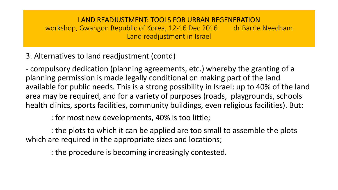workshop, Gwangon Republic of Korea, 12-16 Dec 2016 dr Barrie Needham Land readjustment in Israel

# 3. Alternatives to land readjustment (contd)

- compulsory dedication (planning agreements, etc.) whereby the granting of a planning permission is made legally conditional on making part of the land available for public needs. This is a strong possibility in Israel: up to 40% of the land area may be required, and for a variety of purposes (roads, playgrounds, schools health clinics, sports facilities, community buildings, even religious facilities). But:

: for most new developments, 40% is too little;

: the plots to which it can be applied are too small to assemble the plots which are required in the appropriate sizes and locations;

: the procedure is becoming increasingly contested.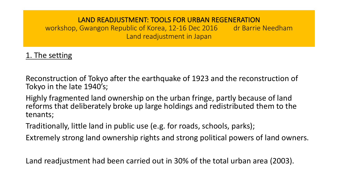workshop, Gwangon Republic of Korea, 12-16 Dec 2016 dr Barrie Needham Land readjustment in Japan

# 1. The setting

Reconstruction of Tokyo after the earthquake of 1923 and the reconstruction of Tokyo in the late 1940's;

Highly fragmented land ownership on the urban fringe, partly because of land reforms that deliberately broke up large holdings and redistributed them to the tenants;

Traditionally, little land in public use (e.g. for roads, schools, parks);

Extremely strong land ownership rights and strong political powers of land owners.

Land readjustment had been carried out in 30% of the total urban area (2003).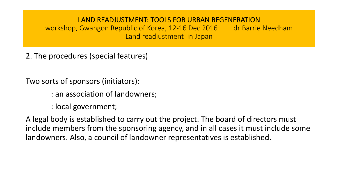workshop, Gwangon Republic of Korea, 12-16 Dec 2016 dr Barrie Needham Land readjustment in Japan

# 2. The procedures (special features)

Two sorts of sponsors (initiators):

- : an association of landowners;
- : local government;

A legal body is established to carry out the project. The board of directors must include members from the sponsoring agency, and in all cases it must include some landowners. Also, a council of landowner representatives is established.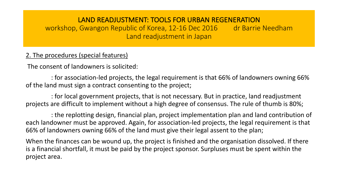workshop, Gwangon Republic of Korea, 12-16 Dec 2016 dr Barrie Needham Land readjustment in Japan

## 2. The procedures (special features)

The consent of landowners is solicited:

: for association-led projects, the legal requirement is that 66% of landowners owning 66% of the land must sign a contract consenting to the project;

: for local government projects, that is not necessary. But in practice, land readjustment projects are difficult to implement without a high degree of consensus. The rule of thumb is 80%;

: the replotting design, financial plan, project implementation plan and land contribution of each landowner must be approved. Again, for association-led projects, the legal requirement is that 66% of landowners owning 66% of the land must give their legal assent to the plan;

When the finances can be wound up, the project is finished and the organisation dissolved. If there is a financial shortfall, it must be paid by the project sponsor. Surpluses must be spent within the project area.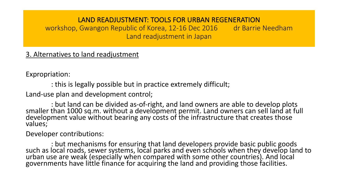workshop, Gwangon Republic of Korea, 12-16 Dec 2016 dr Barrie Needham Land readjustment in Japan

## 3. Alternatives to land readjustment

Expropriation:

: this is legally possible but in practice extremely difficult;

Land-use plan and development control;

: but land can be divided as-of-right, and land owners are able to develop plots<br>smaller than 1000 sq.m. without a development permit. Land owners can sell land at full<br>development value without bearing any costs of the in values;

Developer contributions:

: but mechanisms for ensuring that land developers provide basic public goods<br>such as local roads, sewer systems, local parks and even schools when they develop land to urban use are weak (especially when compared with some other countries). And local governments have little finance for acquiring the land and providing those facilities.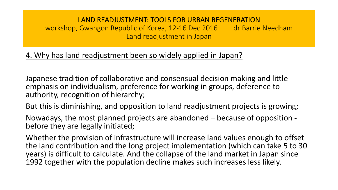workshop, Gwangon Republic of Korea, 12-16 Dec 2016 dr Barrie Needham Land readjustment in Japan

## 4. Why has land readjustment been so widely applied in Japan?

Japanese tradition of collaborative and consensual decision making and little emphasis on individualism, preference for working in groups, deference to authority, recognition of hierarchy;

But this is diminishing, and opposition to land readjustment projects is growing;

Nowadays, the most planned projects are abandoned – because of opposition -<br>before they are legally initiated;

Whether the provision of infrastructure will increase land values enough to offset the land contribution and the long project implementation (which can take 5 to 30 years) is difficult to calculate. And the collapse of the land market in Japan since 1992 together with the population decline makes such increases less likely.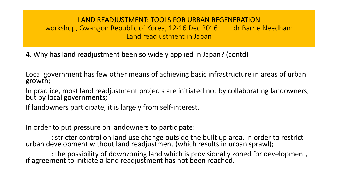workshop, Gwangon Republic of Korea, 12-16 Dec 2016 dr Barrie Needham Land readjustment in Japan

4. Why has land readjustment been so widely applied in Japan? (contd)

Local government has few other means of achieving basic infrastructure in areas of urban growth;

In practice, most land readjustment projects are initiated not by collaborating landowners, but by local governments;

If landowners participate, it is largely from self-interest.

In order to put pressure on landowners to participate:

: stricter control on land use change outside the built up area, in order to restrict<br>urban development without land readjustment (which results in urban sprawl);

: the possibility of downzoning land which is provisionally zoned for development,<br>if agreement to initiate a land readjustment has not been reached.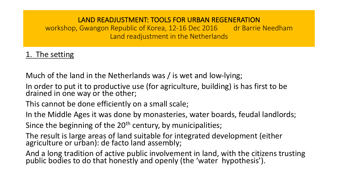workshop, Gwangon Republic of Korea, 12-16 Dec 2016 dr Barrie Needham Land readjustment in the Netherlands

# 1. The setting

Much of the land in the Netherlands was / is wet and low-lying;

In order to put it to productive use (for agriculture, building) is has first to be drained in one way or the other;

This cannot be done efficiently on a small scale;

In the Middle Ages it was done by monasteries, water boards, feudal landlords;

Since the beginning of the  $20<sup>th</sup>$  century, by municipalities;

The result is large areas of land suitable for integrated development (either agriculture or urban): de facto land assembly;

And a long tradition of active public involvement in land, with the citizens trusting public bodies to do that honestly and openly (the 'water hypothesis').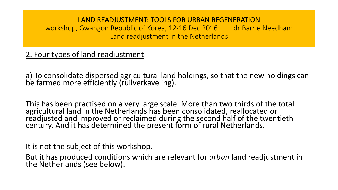workshop, Gwangon Republic of Korea, 12-16 Dec 2016 dr Barrie Needham Land readjustment in the Netherlands

# 2. Four types of land readjustment

a) To consolidate dispersed agricultural land holdings, so that the new holdings can be farmed more efficiently (ruilverkaveling).

This has been practised on a very large scale. More than two thirds of the total agricultural land in the Netherlands has been consolidated, reallocated or readjusted and improved or reclaimed during the second half of the twentieth century. And it has determined the present form of rural Netherlands.

It is not the subject of this workshop.

But it has produced conditions which are relevant for *urban* land readjustment in the Netherlands (see below).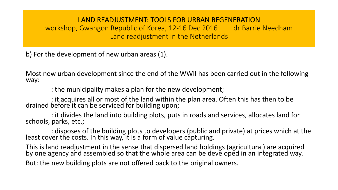workshop, Gwangon Republic of Korea, 12-16 Dec 2016 dr Barrie Needham Land readjustment in the Netherlands

b) For the development of new urban areas (1).

Most new urban development since the end of the WWII has been carried out in the following way:

: the municipality makes a plan for the new development;

: it acquires all or most of the land within the plan area. Often this has then to be drained before it can be serviced for building upon;

: it divides the land into building plots, puts in roads and services, allocates land for schools, parks, etc.;

: disposes of the building plots to developers (public and private) at prices which at the least cover the costs. In this way, it is a form of value capturing.

This is land readjustment in the sense that dispersed land holdings (agricultural) are acquired by one agency and assembled so that the whole area can be developed in an integrated way. But: the new building plots are not offered back to the original owners.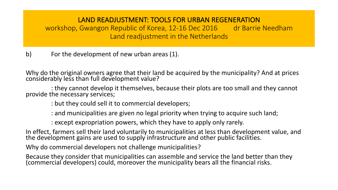workshop, Gwangon Republic of Korea, 12-16 Dec 2016 dr Barrie Needham Land readjustment in the Netherlands

b) For the development of new urban areas (1).

Why do the original owners agree that their land be acquired by the municipality? And at prices considerably less than full development value?

: they cannot develop it themselves, because their plots are too small and they cannot provide the necessary services;

: but they could sell it to commercial developers;

: and municipalities are given no legal priority when trying to acquire such land;

: except expropriation powers, which they have to apply only rarely.

In effect, farmers sell their land voluntarily to municipalities at less than development value, and the development gains are used to supply infrastructure and other public facilities.

Why do commercial developers not challenge municipalities?

Because they consider that municipalities can assemble and service the land better than they (commercial developers) could, moreover the municipality bears all the financial risks.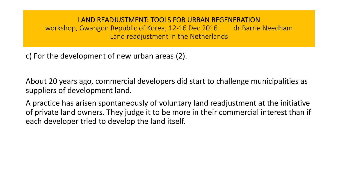workshop, Gwangon Republic of Korea, 12-16 Dec 2016 dr Barrie Needham Land readjustment in the Netherlands

c) For the development of new urban areas (2).

About 20 years ago, commercial developers did start to challenge municipalities as suppliers of development land.

A practice has arisen spontaneously of voluntary land readjustment at the initiative of private land owners. They judge it to be more in their commercial interest than if each developer tried to develop the land itself.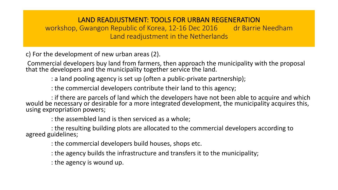workshop, Gwangon Republic of Korea, 12-16 Dec 2016 dr Barrie Needham Land readjustment in the Netherlands

c) For the development of new urban areas (2).

Commercial developers buy land from farmers, then approach the municipality with the proposal that the developers and the municipality together service the land.

: a land pooling agency is set up (often a public-private partnership);

: the commercial developers contribute their land to this agency;

if there are parcels of land which the developers have not been able to acquire and which :<br>would be necessary or desirable for a more integrated development, the municipality acquires this, using expropriation powers;

: the assembled land is then serviced as a whole;

: the resulting building plots are allocated to the commercial developers according to<br>agreed guidelines;

: the commercial developers build houses, shops etc.

- : the agency builds the infrastructure and transfers it to the municipality;
- : the agency is wound up.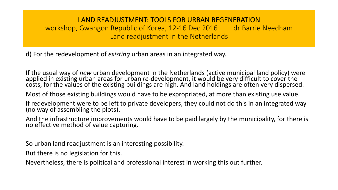workshop, Gwangon Republic of Korea, 12-16 Dec 2016 dr Barrie Needham Land readjustment in the Netherlands

d) For the redevelopment of *existing* urban areas in an integrated way.

If the usual way of *new* urban development in the Netherlands (active municipal land policy) were applied in existing urban areas for urban re-development, it would be very difficult to cover the costs, for the values of

Most of those existing buildings would have to be expropriated, at more than existing use value.

If redevelopment were to be left to private developers, they could not do this in an integrated way (no way of assembling the plots).

And the infrastructure improvements would have to be paid largely by the municipality, for there is no effective method of value capturing.

So urban land readjustment is an interesting possibility.

But there is no legislation for this.

Nevertheless, there is political and professional interest in working this out further.